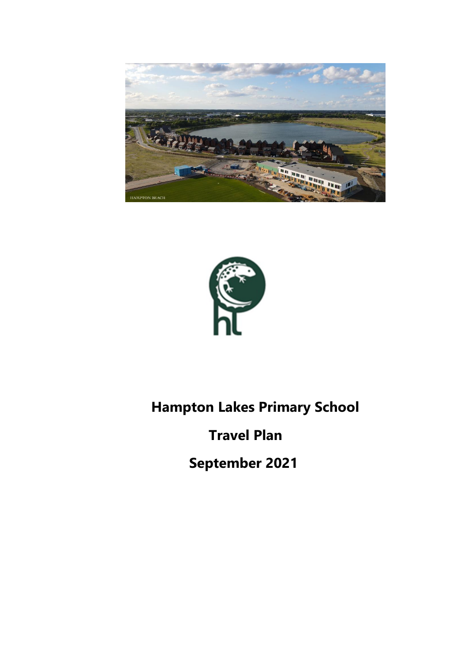



# **Hampton Lakes Primary School**

# **Travel Plan**

 **September 2021**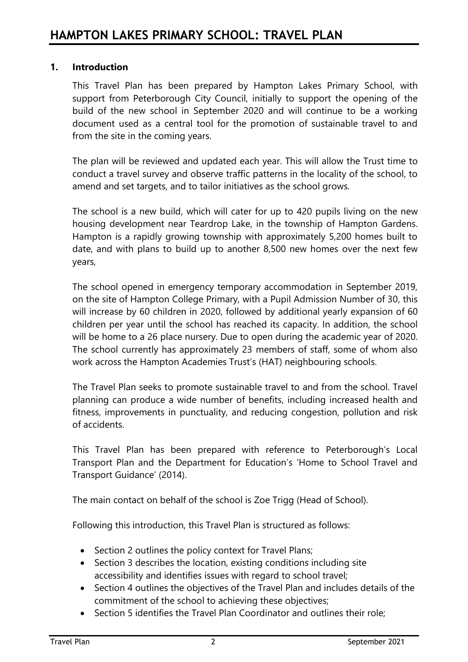# **1. Introduction**

This Travel Plan has been prepared by Hampton Lakes Primary School, with support from Peterborough City Council, initially to support the opening of the build of the new school in September 2020 and will continue to be a working document used as a central tool for the promotion of sustainable travel to and from the site in the coming years.

The plan will be reviewed and updated each year. This will allow the Trust time to conduct a travel survey and observe traffic patterns in the locality of the school, to amend and set targets, and to tailor initiatives as the school grows.

The school is a new build, which will cater for up to 420 pupils living on the new housing development near Teardrop Lake, in the township of Hampton Gardens. Hampton is a rapidly growing township with approximately 5,200 homes built to date, and with plans to build up to another 8,500 new homes over the next few years,

The school opened in emergency temporary accommodation in September 2019, on the site of Hampton College Primary, with a Pupil Admission Number of 30, this will increase by 60 children in 2020, followed by additional yearly expansion of 60 children per year until the school has reached its capacity. In addition, the school will be home to a 26 place nursery. Due to open during the academic year of 2020. The school currently has approximately 23 members of staff, some of whom also work across the Hampton Academies Trust's (HAT) neighbouring schools.

The Travel Plan seeks to promote sustainable travel to and from the school. Travel planning can produce a wide number of benefits, including increased health and fitness, improvements in punctuality, and reducing congestion, pollution and risk of accidents.

This Travel Plan has been prepared with reference to Peterborough's Local Transport Plan and the Department for Education's 'Home to School Travel and Transport Guidance' (2014).

The main contact on behalf of the school is Zoe Trigg (Head of School).

Following this introduction, this Travel Plan is structured as follows:

- Section 2 outlines the policy context for Travel Plans;
- Section 3 describes the location, existing conditions including site accessibility and identifies issues with regard to school travel;
- Section 4 outlines the objectives of the Travel Plan and includes details of the commitment of the school to achieving these objectives;
- Section 5 identifies the Travel Plan Coordinator and outlines their role;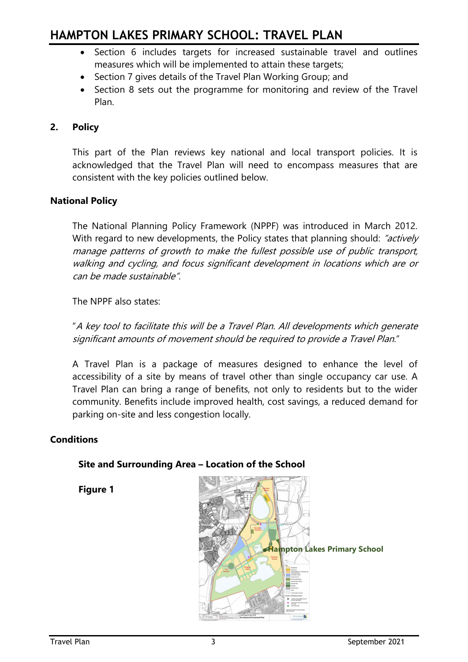- Section 6 includes targets for increased sustainable travel and outlines measures which will be implemented to attain these targets;
- Section 7 gives details of the Travel Plan Working Group; and
- Section 8 sets out the programme for monitoring and review of the Travel Plan.

# **2. Policy**

This part of the Plan reviews key national and local transport policies. It is acknowledged that the Travel Plan will need to encompass measures that are consistent with the key policies outlined below.

# **National Policy**

The National Planning Policy Framework (NPPF) was introduced in March 2012. With regard to new developments, the Policy states that planning should: "actively manage patterns of growth to make the fullest possible use of public transport, walking and cycling, and focus significant development in locations which are or can be made sustainable".

The NPPF also states:

"A key tool to facilitate this will be a Travel Plan. All developments which generate significant amounts of movement should be required to provide a Travel Plan."

A Travel Plan is a package of measures designed to enhance the level of accessibility of a site by means of travel other than single occupancy car use. A Travel Plan can bring a range of benefits, not only to residents but to the wider community. Benefits include improved health, cost savings, a reduced demand for parking on-site and less congestion locally.

# **Conditions**

# **.Hampton Lakes Primary School**

### **Site and Surrounding Area – Location of the School**

**Figure 1**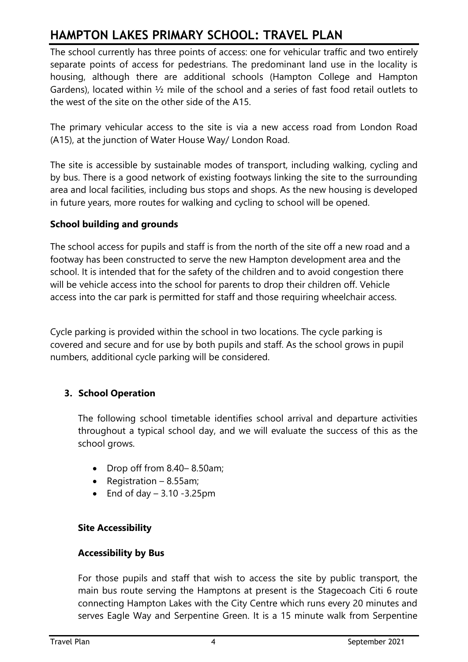The school currently has three points of access: one for vehicular traffic and two entirely separate points of access for pedestrians. The predominant land use in the locality is housing, although there are additional schools (Hampton College and Hampton Gardens), located within ½ mile of the school and a series of fast food retail outlets to the west of the site on the other side of the A15.

The primary vehicular access to the site is via a new access road from London Road (A15), at the junction of Water House Way/ London Road.

The site is accessible by sustainable modes of transport, including walking, cycling and by bus. There is a good network of existing footways linking the site to the surrounding area and local facilities, including bus stops and shops. As the new housing is developed in future years, more routes for walking and cycling to school will be opened.

# **School building and grounds**

The school access for pupils and staff is from the north of the site off a new road and a footway has been constructed to serve the new Hampton development area and the school. It is intended that for the safety of the children and to avoid congestion there will be vehicle access into the school for parents to drop their children off. Vehicle access into the car park is permitted for staff and those requiring wheelchair access.

Cycle parking is provided within the school in two locations. The cycle parking is covered and secure and for use by both pupils and staff. As the school grows in pupil numbers, additional cycle parking will be considered.

# **3. School Operation**

The following school timetable identifies school arrival and departure activities throughout a typical school day, and we will evaluate the success of this as the school grows.

- Drop off from 8.40– 8.50am;
- Registration 8.55am;
- End of day  $-3.10 -3.25$ pm

# **Site Accessibility**

# **Accessibility by Bus**

For those pupils and staff that wish to access the site by public transport, the main bus route serving the Hamptons at present is the Stagecoach Citi 6 route connecting Hampton Lakes with the City Centre which runs every 20 minutes and serves Eagle Way and Serpentine Green. It is a 15 minute walk from Serpentine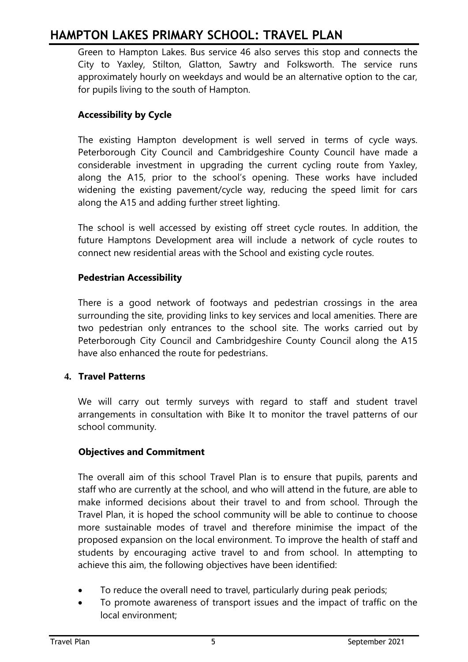Green to Hampton Lakes. Bus service 46 also serves this stop and connects the City to Yaxley, Stilton, Glatton, Sawtry and Folksworth. The service runs approximately hourly on weekdays and would be an alternative option to the car, for pupils living to the south of Hampton.

# **Accessibility by Cycle**

The existing Hampton development is well served in terms of cycle ways. Peterborough City Council and Cambridgeshire County Council have made a considerable investment in upgrading the current cycling route from Yaxley, along the A15, prior to the school's opening. These works have included widening the existing pavement/cycle way, reducing the speed limit for cars along the A15 and adding further street lighting.

The school is well accessed by existing off street cycle routes. In addition, the future Hamptons Development area will include a network of cycle routes to connect new residential areas with the School and existing cycle routes.

# **Pedestrian Accessibility**

There is a good network of footways and pedestrian crossings in the area surrounding the site, providing links to key services and local amenities. There are two pedestrian only entrances to the school site. The works carried out by Peterborough City Council and Cambridgeshire County Council along the A15 have also enhanced the route for pedestrians.

# **4. Travel Patterns**

We will carry out termly surveys with regard to staff and student travel arrangements in consultation with Bike It to monitor the travel patterns of our school community.

# **Objectives and Commitment**

The overall aim of this school Travel Plan is to ensure that pupils, parents and staff who are currently at the school, and who will attend in the future, are able to make informed decisions about their travel to and from school. Through the Travel Plan, it is hoped the school community will be able to continue to choose more sustainable modes of travel and therefore minimise the impact of the proposed expansion on the local environment. To improve the health of staff and students by encouraging active travel to and from school. In attempting to achieve this aim, the following objectives have been identified:

- To reduce the overall need to travel, particularly during peak periods;
- To promote awareness of transport issues and the impact of traffic on the local environment;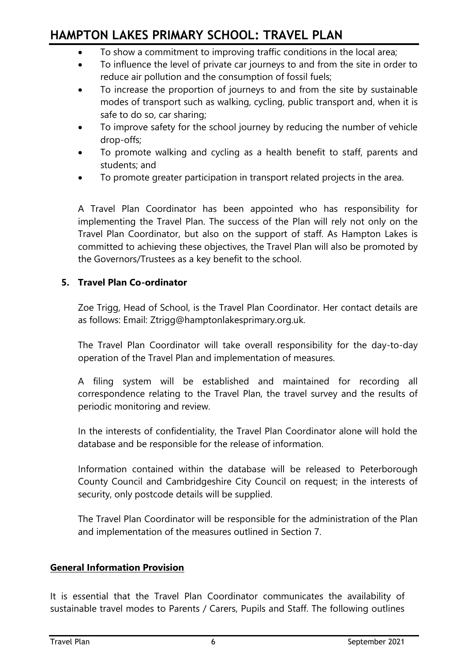- To show a commitment to improving traffic conditions in the local area;
- To influence the level of private car journeys to and from the site in order to reduce air pollution and the consumption of fossil fuels;
- To increase the proportion of journeys to and from the site by sustainable modes of transport such as walking, cycling, public transport and, when it is safe to do so, car sharing;
- To improve safety for the school journey by reducing the number of vehicle drop-offs;
- To promote walking and cycling as a health benefit to staff, parents and students; and
- To promote greater participation in transport related projects in the area.

A Travel Plan Coordinator has been appointed who has responsibility for implementing the Travel Plan. The success of the Plan will rely not only on the Travel Plan Coordinator, but also on the support of staff. As Hampton Lakes is committed to achieving these objectives, the Travel Plan will also be promoted by the Governors/Trustees as a key benefit to the school.

# **5. Travel Plan Co-ordinator**

Zoe Trigg, Head of School, is the Travel Plan Coordinator. Her contact details are as follows: Email: Ztrigg@hamptonlakesprimary.org.uk.

The Travel Plan Coordinator will take overall responsibility for the day-to-day operation of the Travel Plan and implementation of measures.

A filing system will be established and maintained for recording all correspondence relating to the Travel Plan, the travel survey and the results of periodic monitoring and review.

In the interests of confidentiality, the Travel Plan Coordinator alone will hold the database and be responsible for the release of information.

Information contained within the database will be released to Peterborough County Council and Cambridgeshire City Council on request; in the interests of security, only postcode details will be supplied.

The Travel Plan Coordinator will be responsible for the administration of the Plan and implementation of the measures outlined in Section 7.

# **General Information Provision**

It is essential that the Travel Plan Coordinator communicates the availability of sustainable travel modes to Parents / Carers, Pupils and Staff. The following outlines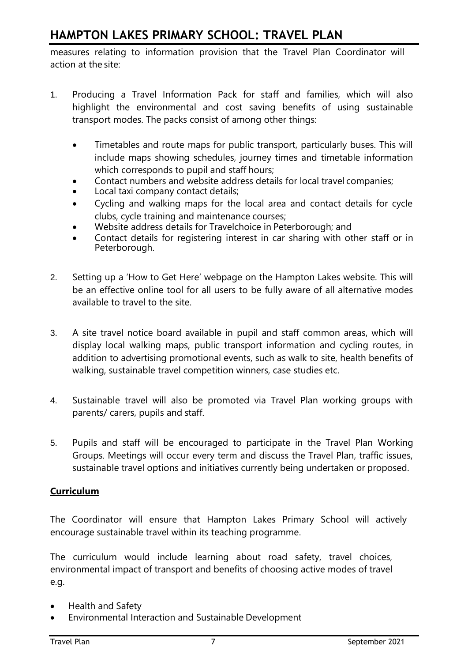measures relating to information provision that the Travel Plan Coordinator will action at the site:

- 1. Producing a Travel Information Pack for staff and families, which will also highlight the environmental and cost saving benefits of using sustainable transport modes. The packs consist of among other things:
	- Timetables and route maps for public transport, particularly buses. This will include maps showing schedules, journey times and timetable information which corresponds to pupil and staff hours:
	- Contact numbers and website address details for local travel companies;
	- Local taxi company contact details;
	- Cycling and walking maps for the local area and contact details for cycle clubs, cycle training and maintenance courses;
	- Website address details for Travelchoice in Peterborough; and
	- Contact details for registering interest in car sharing with other staff or in Peterborough.
- 2. Setting up a 'How to Get Here' webpage on the Hampton Lakes website. This will be an effective online tool for all users to be fully aware of all alternative modes available to travel to the site.
- 3. A site travel notice board available in pupil and staff common areas, which will display local walking maps, public transport information and cycling routes, in addition to advertising promotional events, such as walk to site, health benefits of walking, sustainable travel competition winners, case studies etc.
- 4. Sustainable travel will also be promoted via Travel Plan working groups with parents/ carers, pupils and staff.
- 5. Pupils and staff will be encouraged to participate in the Travel Plan Working Groups. Meetings will occur every term and discuss the Travel Plan, traffic issues, sustainable travel options and initiatives currently being undertaken or proposed.

# **Curriculum**

The Coordinator will ensure that Hampton Lakes Primary School will actively encourage sustainable travel within its teaching programme.

The curriculum would include learning about road safety, travel choices, environmental impact of transport and benefits of choosing active modes of travel e.g.

- Health and Safety
- Environmental Interaction and Sustainable Development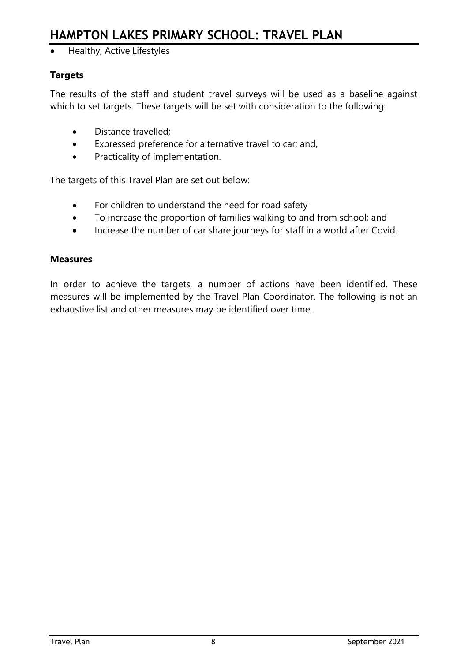• Healthy, Active Lifestyles

# **Targets**

The results of the staff and student travel surveys will be used as a baseline against which to set targets. These targets will be set with consideration to the following:

- Distance travelled;
- Expressed preference for alternative travel to car; and,
- Practicality of implementation.

The targets of this Travel Plan are set out below:

- For children to understand the need for road safety
- To increase the proportion of families walking to and from school; and
- Increase the number of car share journeys for staff in a world after Covid.

### **Measures**

In order to achieve the targets, a number of actions have been identified. These measures will be implemented by the Travel Plan Coordinator. The following is not an exhaustive list and other measures may be identified over time.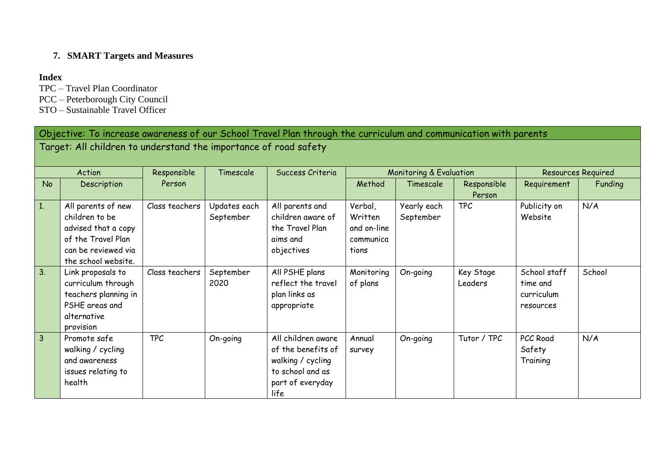# **7. SMART Targets and Measures**

### **Index**

- TPC Travel Plan Coordinator
- PCC Peterborough City Council
- STO Sustainable Travel Officer

| Objective: To increase awareness of our School Travel Plan through the curriculum and communication with parents<br>Target: All children to understand the importance of road safety |                                                                                                                                 |                |                           |                                                                                                               |                                                         |                                    |                       |                                                     |                           |
|--------------------------------------------------------------------------------------------------------------------------------------------------------------------------------------|---------------------------------------------------------------------------------------------------------------------------------|----------------|---------------------------|---------------------------------------------------------------------------------------------------------------|---------------------------------------------------------|------------------------------------|-----------------------|-----------------------------------------------------|---------------------------|
|                                                                                                                                                                                      | Action                                                                                                                          | Responsible    | Timescale                 | Success Criteria                                                                                              |                                                         | <b>Monitoring &amp; Evaluation</b> |                       |                                                     | <b>Resources Required</b> |
| <b>No</b>                                                                                                                                                                            | Description                                                                                                                     | Person         |                           |                                                                                                               | Method                                                  | Timescale                          | Responsible<br>Person | Requirement                                         | Funding                   |
| 1.                                                                                                                                                                                   | All parents of new<br>children to be<br>advised that a copy<br>of the Travel Plan<br>can be reviewed via<br>the school website. | Class teachers | Updates each<br>September | All parents and<br>children aware of<br>the Travel Plan<br>aims and<br>objectives                             | Verbal,<br>Written<br>and on-line<br>communica<br>tions | Yearly each<br>September           | <b>TPC</b>            | Publicity on<br>Website                             | N/A                       |
| 3.                                                                                                                                                                                   | Link proposals to<br>curriculum through<br>teachers planning in<br>PSHE areas and<br>alternative<br>provision                   | Class teachers | September<br>2020         | All PSHE plans<br>reflect the travel<br>plan links as<br>appropriate                                          | Monitoring<br>of plans                                  | On-going                           | Key Stage<br>Leaders  | School staff<br>time and<br>curriculum<br>resources | School                    |
| $\overline{3}$                                                                                                                                                                       | Promote safe<br>walking / cycling<br>and awareness<br>issues relating to<br>health                                              | <b>TPC</b>     | On-going                  | All children aware<br>of the benefits of<br>walking / cycling<br>to school and as<br>part of everyday<br>life | Annual<br>survey                                        | On-going                           | Tutor / TPC           | PCC Road<br>Safety<br>Training                      | N/A                       |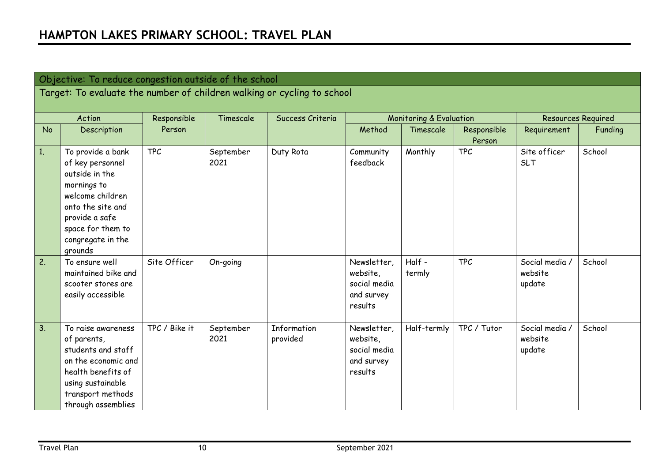| Objective: To reduce congestion outside of the school |                                                                                                                                                                                        |               |                   |                         |                                                                  |                                    |                       |                                     |                           |
|-------------------------------------------------------|----------------------------------------------------------------------------------------------------------------------------------------------------------------------------------------|---------------|-------------------|-------------------------|------------------------------------------------------------------|------------------------------------|-----------------------|-------------------------------------|---------------------------|
|                                                       | Target: To evaluate the number of children walking or cycling to school                                                                                                                |               |                   |                         |                                                                  |                                    |                       |                                     |                           |
|                                                       |                                                                                                                                                                                        |               |                   |                         |                                                                  |                                    |                       |                                     |                           |
|                                                       | Action                                                                                                                                                                                 | Responsible   | Timescale         | Success Criteria        |                                                                  | <b>Monitoring &amp; Evaluation</b> |                       |                                     | <b>Resources Required</b> |
| <b>No</b>                                             | Description                                                                                                                                                                            | Person        |                   |                         | Method                                                           | Timescale                          | Responsible<br>Person | Requirement                         | Funding                   |
| 1.                                                    | To provide a bank<br>of key personnel<br>outside in the<br>mornings to<br>welcome children<br>onto the site and<br>provide a safe<br>space for them to<br>congregate in the<br>grounds | <b>TPC</b>    | September<br>2021 | Duty Rota               | Community<br>feedback                                            | Monthly                            | <b>TPC</b>            | Site officer<br><b>SLT</b>          | School                    |
| 2.                                                    | To ensure well<br>maintained bike and<br>scooter stores are<br>easily accessible                                                                                                       | Site Officer  | On-going          |                         | Newsletter,<br>website,<br>social media<br>and survey<br>results | Half -<br>termly                   | <b>TPC</b>            | Social media /<br>website<br>update | School                    |
| 3.                                                    | To raise awareness<br>of parents,<br>students and staff<br>on the economic and<br>health benefits of<br>using sustainable<br>transport methods<br>through assemblies                   | TPC / Bike it | September<br>2021 | Information<br>provided | Newsletter,<br>website,<br>social media<br>and survey<br>results | Half-termly                        | TPC / Tutor           | Social media /<br>website<br>update | School                    |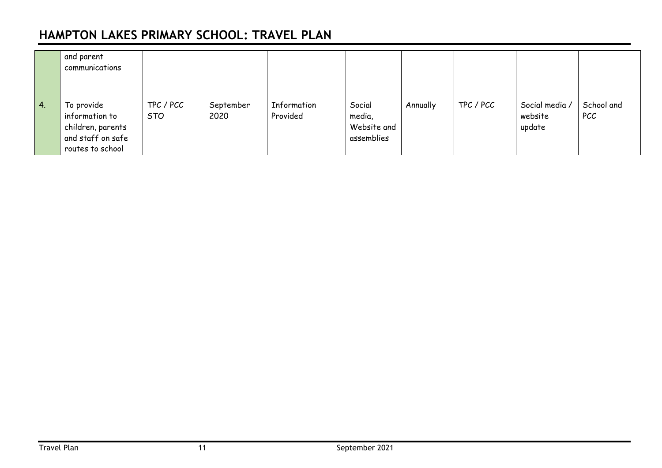|            | and parent<br>communications                                                               |                         |                   |                         |                                               |          |           |                                     |                          |
|------------|--------------------------------------------------------------------------------------------|-------------------------|-------------------|-------------------------|-----------------------------------------------|----------|-----------|-------------------------------------|--------------------------|
| $\vert 4.$ | To provide<br>information to<br>children, parents<br>and staff on safe<br>routes to school | TPC / PCC<br><b>STO</b> | September<br>2020 | Information<br>Provided | Social<br>media,<br>Website and<br>assemblies | Annually | TPC / PCC | Social media /<br>website<br>update | School and<br><b>PCC</b> |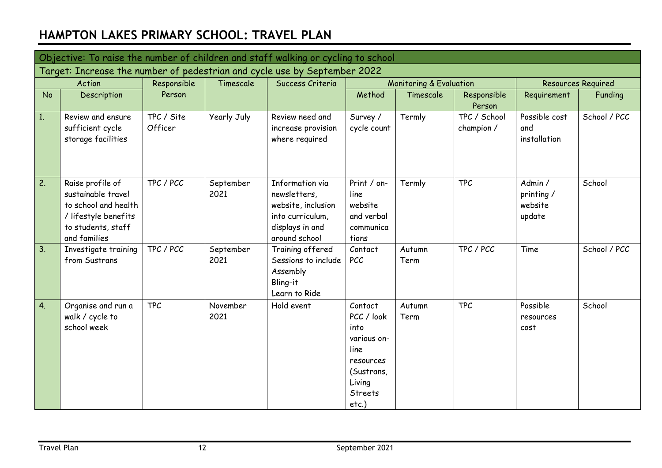|           | Objective: To raise the number of children and staff walking or cycling to school                                            |                       |                   |                                                                                                               |                                                                                                                         |                         |                            |                                           |                           |
|-----------|------------------------------------------------------------------------------------------------------------------------------|-----------------------|-------------------|---------------------------------------------------------------------------------------------------------------|-------------------------------------------------------------------------------------------------------------------------|-------------------------|----------------------------|-------------------------------------------|---------------------------|
|           | Target: Increase the number of pedestrian and cycle use by September 2022                                                    |                       |                   |                                                                                                               |                                                                                                                         |                         |                            |                                           |                           |
|           | Action                                                                                                                       | Responsible           | Timescale         | Success Criteria                                                                                              |                                                                                                                         | Monitoring & Evaluation |                            |                                           | <b>Resources Required</b> |
| <b>No</b> | Description                                                                                                                  | Person                |                   |                                                                                                               | Method                                                                                                                  | Timescale               | Responsible<br>Person      | Requirement                               | Funding                   |
| 1.        | Review and ensure<br>sufficient cycle<br>storage facilities                                                                  | TPC / Site<br>Officer | Yearly July       | Review need and<br>increase provision<br>where required                                                       | Survey /<br>cycle count                                                                                                 | Termly                  | TPC / School<br>champion / | Possible cost<br>and<br>installation      | School / PCC              |
| 2.        | Raise profile of<br>sustainable travel<br>to school and health<br>/ lifestyle benefits<br>to students, staff<br>and families | TPC / PCC             | September<br>2021 | Information via<br>newsletters,<br>website, inclusion<br>into curriculum,<br>displays in and<br>around school | Print / on-<br>line<br>website<br>and verbal<br>communica<br>tions                                                      | Termly                  | <b>TPC</b>                 | Admin /<br>printing/<br>website<br>update | School                    |
| 3.        | Investigate training<br>from Sustrans                                                                                        | TPC / PCC             | September<br>2021 | Training offered<br>Sessions to include<br>Assembly<br>Bling-it<br>Learn to Ride                              | Contact<br><b>PCC</b>                                                                                                   | Autumn<br>Term          | TPC / PCC                  | Time                                      | School / PCC              |
| 4.        | Organise and run a<br>walk / cycle to<br>school week                                                                         | <b>TPC</b>            | November<br>2021  | Hold event                                                                                                    | Contact<br>PCC / look<br>into<br>various on-<br>line<br>resources<br>(Sustrans,<br>Living<br><b>Streets</b><br>$etc.$ ) | Autumn<br>Term          | <b>TPC</b>                 | Possible<br>resources<br>cost             | School                    |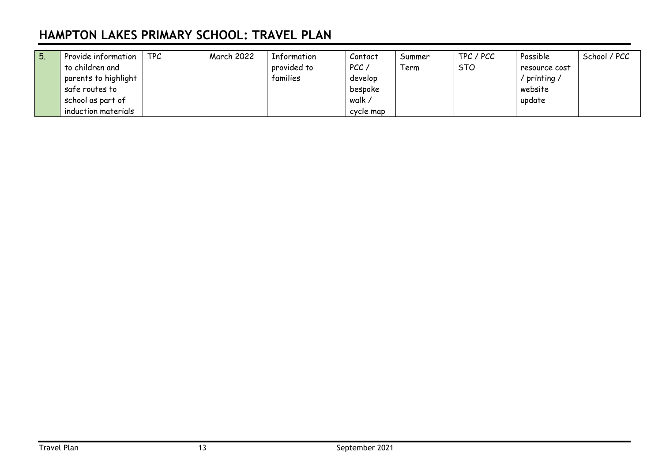| l 5. | Provide information  | <b>TPC</b> | <b>March 2022</b> | Information | Contact   | Summer | TPC / PCC  | Possible       | School / PCC |
|------|----------------------|------------|-------------------|-------------|-----------|--------|------------|----------------|--------------|
|      | to children and      |            |                   | provided to | PCC/      | Term   | <b>STO</b> | resource cost  |              |
|      | parents to highlight |            |                   | families    | develop   |        |            | $'$ printing / |              |
|      | safe routes to       |            |                   |             | bespoke   |        |            | website        |              |
|      | school as part of    |            |                   |             | walk /    |        |            | update         |              |
|      | induction materials  |            |                   |             | cycle map |        |            |                |              |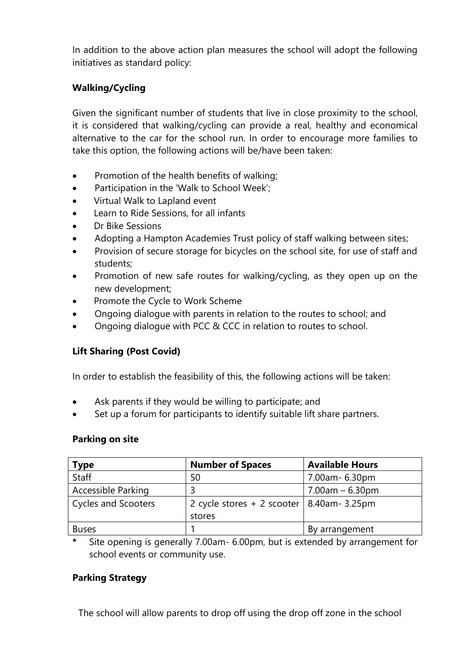In addition to the above action plan measures the school will adopt the following initiatives as standard policy:

# **Walking/Cycling**

Given the significant number of students that live in close proximity to the school, it is considered that walking/cycling can provide a real, healthy and economical alternative to the car for the school run. In order to encourage more families to take this option, the following actions will be/have been taken:

- Promotion of the health benefits of walking;
- Participation in the 'Walk to School Week';
- Virtual Walk to Lapland event
- Learn to Ride Sessions, for all infants
- Dr Bike Sessions
- Adopting a Hampton Academies Trust policy of staff walking between sites;
- Provision of secure storage for bicycles on the school site, for use of staff and students;
- Promotion of new safe routes for walking/cycling, as they open up on the new development;
- Promote the Cycle to Work Scheme
- Ongoing dialogue with parents in relation to the routes to school; and
- Ongoing dialogue with PCC & CCC in relation to routes to school.

# **Lift Sharing (Post Covid)**

In order to establish the feasibility of this, the following actions will be taken:

- Ask parents if they would be willing to participate; and
- Set up a forum for participants to identify suitable lift share partners.

# **Parking on site**

| <b>Type</b>                | <b>Number of Spaces</b>                        | <b>Available Hours</b> |
|----------------------------|------------------------------------------------|------------------------|
| Staff                      | 50                                             | 7.00am- 6.30pm         |
| <b>Accessible Parking</b>  |                                                | $7.00$ am $-6.30$ pm   |
| <b>Cycles and Scooters</b> | 2 cycle stores $+ 2$ scooter   8.40am - 3.25pm |                        |
|                            | stores                                         |                        |
| <b>Buses</b>               |                                                | By arrangement         |

**\*** Site opening is generally 7.00am- 6.00pm, but is extended by arrangement for school events or community use.

# **Parking Strategy**

The school will allow parents to drop off using the drop off zone in the school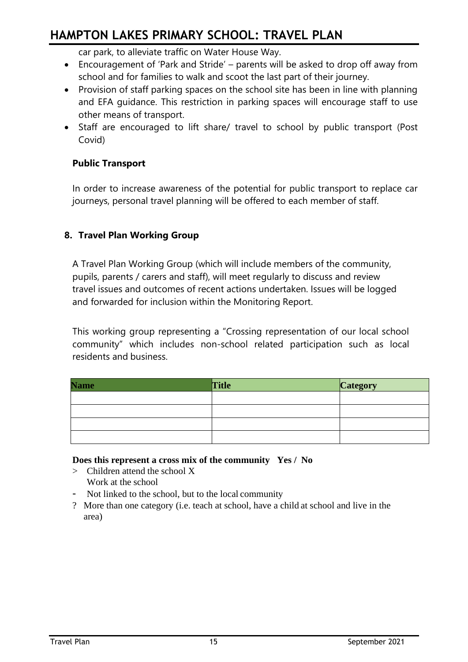car park, to alleviate traffic on Water House Way.

- Encouragement of 'Park and Stride' parents will be asked to drop off away from school and for families to walk and scoot the last part of their journey.
- Provision of staff parking spaces on the school site has been in line with planning and EFA guidance. This restriction in parking spaces will encourage staff to use other means of transport.
- Staff are encouraged to lift share/ travel to school by public transport (Post Covid)

# **Public Transport**

In order to increase awareness of the potential for public transport to replace car journeys, personal travel planning will be offered to each member of staff.

# **8. Travel Plan Working Group**

A Travel Plan Working Group (which will include members of the community, pupils, parents / carers and staff), will meet regularly to discuss and review travel issues and outcomes of recent actions undertaken. Issues will be logged and forwarded for inclusion within the Monitoring Report.

This working group representing a "Crossing representation of our local school community" which includes non-school related participation such as local residents and business.

| <b>Name</b> | <b>Title</b> | <b>Category</b> |
|-------------|--------------|-----------------|
|             |              |                 |
|             |              |                 |
|             |              |                 |
|             |              |                 |

### **Does this represent a cross mix of the community Yes / No**

- > Children attend the school X Work at the school
- Not linked to the school, but to the local community
- ? More than one category (i.e. teach at school, have a child at school and live in the area)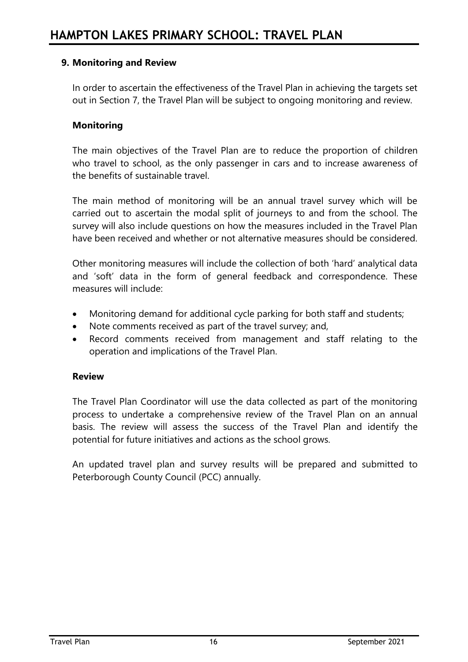# **9. Monitoring and Review**

In order to ascertain the effectiveness of the Travel Plan in achieving the targets set out in Section 7, the Travel Plan will be subject to ongoing monitoring and review.

### **Monitoring**

The main objectives of the Travel Plan are to reduce the proportion of children who travel to school, as the only passenger in cars and to increase awareness of the benefits of sustainable travel.

The main method of monitoring will be an annual travel survey which will be carried out to ascertain the modal split of journeys to and from the school. The survey will also include questions on how the measures included in the Travel Plan have been received and whether or not alternative measures should be considered.

Other monitoring measures will include the collection of both 'hard' analytical data and 'soft' data in the form of general feedback and correspondence. These measures will include:

- Monitoring demand for additional cycle parking for both staff and students;
- Note comments received as part of the travel survey; and,
- Record comments received from management and staff relating to the operation and implications of the Travel Plan.

### **Review**

The Travel Plan Coordinator will use the data collected as part of the monitoring process to undertake a comprehensive review of the Travel Plan on an annual basis. The review will assess the success of the Travel Plan and identify the potential for future initiatives and actions as the school grows.

An updated travel plan and survey results will be prepared and submitted to Peterborough County Council (PCC) annually.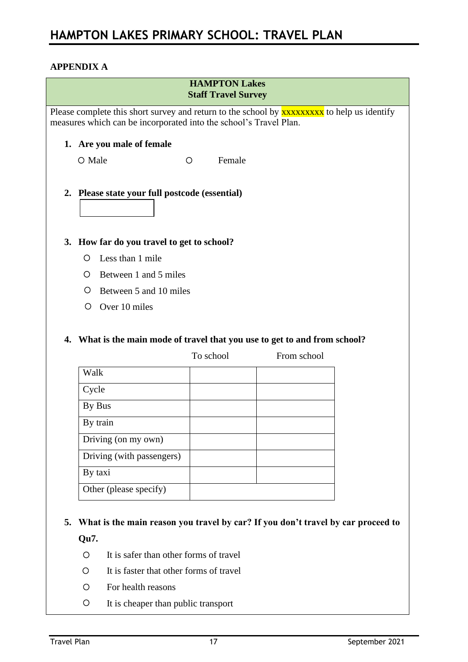# **APPENDIX A**

| <b>HAMPTON Lakes</b><br><b>Staff Travel Survey</b>                                                                                                                     |                                                                                   |                   |                                                                                           |  |  |  |
|------------------------------------------------------------------------------------------------------------------------------------------------------------------------|-----------------------------------------------------------------------------------|-------------------|-------------------------------------------------------------------------------------------|--|--|--|
| Please complete this short survey and return to the school by <b>xxxxxxxx</b> to help us identify<br>measures which can be incorporated into the school's Travel Plan. |                                                                                   |                   |                                                                                           |  |  |  |
|                                                                                                                                                                        | 1. Are you male of female                                                         |                   |                                                                                           |  |  |  |
| O Male                                                                                                                                                                 |                                                                                   | Female<br>$\circ$ |                                                                                           |  |  |  |
|                                                                                                                                                                        | 2. Please state your full postcode (essential)                                    |                   |                                                                                           |  |  |  |
|                                                                                                                                                                        | 3. How far do you travel to get to school?                                        |                   |                                                                                           |  |  |  |
| O                                                                                                                                                                      | Less than 1 mile                                                                  |                   |                                                                                           |  |  |  |
| O.                                                                                                                                                                     | Between 1 and 5 miles                                                             |                   |                                                                                           |  |  |  |
| Ő                                                                                                                                                                      | Between 5 and 10 miles                                                            |                   |                                                                                           |  |  |  |
| Ő                                                                                                                                                                      | Over 10 miles                                                                     |                   |                                                                                           |  |  |  |
|                                                                                                                                                                        |                                                                                   | To school         | 4. What is the main mode of travel that you use to get to and from school?<br>From school |  |  |  |
| Walk                                                                                                                                                                   |                                                                                   |                   |                                                                                           |  |  |  |
| Cycle                                                                                                                                                                  |                                                                                   |                   |                                                                                           |  |  |  |
| By Bus                                                                                                                                                                 |                                                                                   |                   |                                                                                           |  |  |  |
| By train                                                                                                                                                               |                                                                                   |                   |                                                                                           |  |  |  |
|                                                                                                                                                                        | Driving (on my own)                                                               |                   |                                                                                           |  |  |  |
|                                                                                                                                                                        | Driving (with passengers)                                                         |                   |                                                                                           |  |  |  |
| By taxi                                                                                                                                                                |                                                                                   |                   |                                                                                           |  |  |  |
|                                                                                                                                                                        | Other (please specify)                                                            |                   |                                                                                           |  |  |  |
| 5.<br>Qu7.<br>O<br>O                                                                                                                                                   | It is safer than other forms of travel<br>It is faster that other forms of travel |                   | What is the main reason you travel by car? If you don't travel by car proceed to          |  |  |  |
| O                                                                                                                                                                      | For health reasons                                                                |                   |                                                                                           |  |  |  |
| O                                                                                                                                                                      | It is cheaper than public transport                                               |                   |                                                                                           |  |  |  |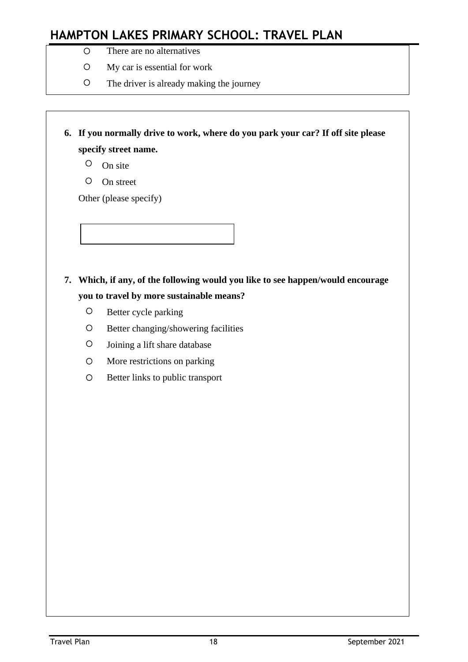- There are no alternatives
- My car is essential for work
- The driver is already making the journey

**6. If you normally drive to work, where do you park your car? If off site please specify street name.**

- $O$  On site
- On street

Other (please specify)

# **7. Which, if any, of the following would you like to see happen/would encourage you to travel by more sustainable means?**

- **O** Better cycle parking
- O Better changing/showering facilities
- Joining a lift share database
- More restrictions on parking
- O Better links to public transport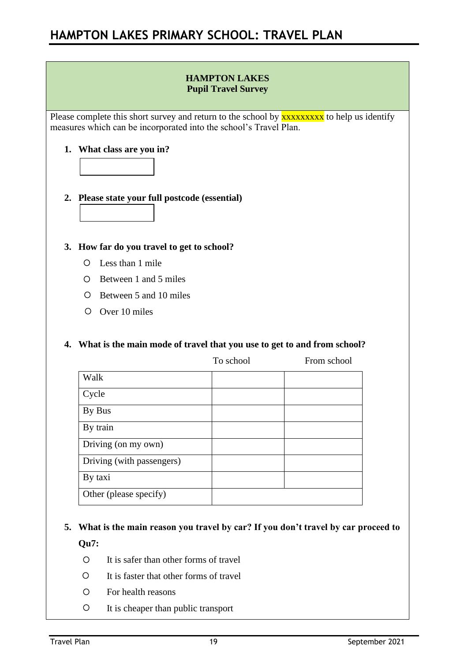### **HAMPTON LAKES Pupil Travel Survey**

Please complete this short survey and return to the school by **XXXXXXXXX** to help us identify measures which can be incorporated into the school's Travel Plan.

### **1. What class are you in?**



### **2. Please state your full postcode (essential)**



### **3. How far do you travel to get to school?**

- Less than 1 mile
- Between 1 and 5 miles
- O Between 5 and 10 miles
- Over 10 miles

### **4. What is the main mode of travel that you use to get to and from school?**

|                           | To school | From school |
|---------------------------|-----------|-------------|
| Walk                      |           |             |
| Cycle                     |           |             |
| By Bus                    |           |             |
| By train                  |           |             |
| Driving (on my own)       |           |             |
| Driving (with passengers) |           |             |
| By taxi                   |           |             |
| Other (please specify)    |           |             |

# **5. What is the main reason you travel by car? If you don't travel by car proceed to Qu7:**

- It is safer than other forms of travel
- It is faster that other forms of travel
- For health reasons
- It is cheaper than public transport